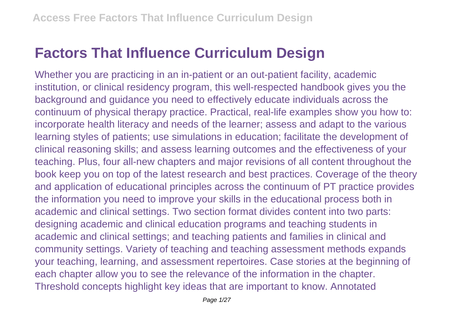## **Factors That Influence Curriculum Design**

Whether you are practicing in an in-patient or an out-patient facility, academic institution, or clinical residency program, this well-respected handbook gives you the background and guidance you need to effectively educate individuals across the continuum of physical therapy practice. Practical, real-life examples show you how to: incorporate health literacy and needs of the learner; assess and adapt to the various learning styles of patients; use simulations in education; facilitate the development of clinical reasoning skills; and assess learning outcomes and the effectiveness of your teaching. Plus, four all-new chapters and major revisions of all content throughout the book keep you on top of the latest research and best practices. Coverage of the theory and application of educational principles across the continuum of PT practice provides the information you need to improve your skills in the educational process both in academic and clinical settings. Two section format divides content into two parts: designing academic and clinical education programs and teaching students in academic and clinical settings; and teaching patients and families in clinical and community settings. Variety of teaching and teaching assessment methods expands your teaching, learning, and assessment repertoires. Case stories at the beginning of each chapter allow you to see the relevance of the information in the chapter. Threshold concepts highlight key ideas that are important to know. Annotated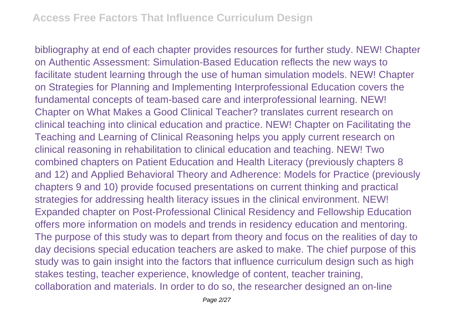bibliography at end of each chapter provides resources for further study. NEW! Chapter on Authentic Assessment: Simulation-Based Education reflects the new ways to facilitate student learning through the use of human simulation models. NEW! Chapter on Strategies for Planning and Implementing Interprofessional Education covers the fundamental concepts of team-based care and interprofessional learning. NEW! Chapter on What Makes a Good Clinical Teacher? translates current research on clinical teaching into clinical education and practice. NEW! Chapter on Facilitating the Teaching and Learning of Clinical Reasoning helps you apply current research on clinical reasoning in rehabilitation to clinical education and teaching. NEW! Two combined chapters on Patient Education and Health Literacy (previously chapters 8 and 12) and Applied Behavioral Theory and Adherence: Models for Practice (previously chapters 9 and 10) provide focused presentations on current thinking and practical strategies for addressing health literacy issues in the clinical environment. NEW! Expanded chapter on Post-Professional Clinical Residency and Fellowship Education offers more information on models and trends in residency education and mentoring. The purpose of this study was to depart from theory and focus on the realities of day to day decisions special education teachers are asked to make. The chief purpose of this study was to gain insight into the factors that influence curriculum design such as high stakes testing, teacher experience, knowledge of content, teacher training, collaboration and materials. In order to do so, the researcher designed an on-line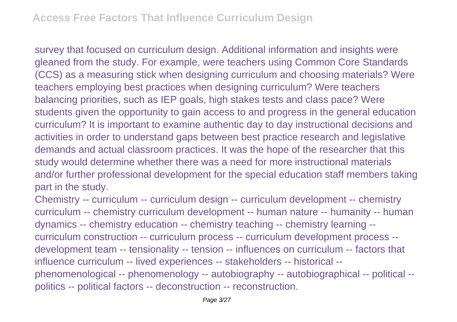survey that focused on curriculum design. Additional information and insights were gleaned from the study. For example, were teachers using Common Core Standards (CCS) as a measuring stick when designing curriculum and choosing materials? Were teachers employing best practices when designing curriculum? Were teachers balancing priorities, such as IEP goals, high stakes tests and class pace? Were students given the opportunity to gain access to and progress in the general education curriculum? It is important to examine authentic day to day instructional decisions and activities in order to understand gaps between best practice research and legislative demands and actual classroom practices. It was the hope of the researcher that this study would determine whether there was a need for more instructional materials and/or further professional development for the special education staff members taking part in the study.

Chemistry -- curriculum -- curriculum design -- curriculum development -- chemistry curriculum -- chemistry curriculum development -- human nature -- humanity -- human dynamics -- chemistry education -- chemistry teaching -- chemistry learning - curriculum construction -- curriculum process -- curriculum development process - development team -- tensionality -- tension -- influences on curriculum -- factors that influence curriculum -- lived experiences -- stakeholders -- historical - phenomenological -- phenomenology -- autobiography -- autobiographical -- political - politics -- political factors -- deconstruction -- reconstruction.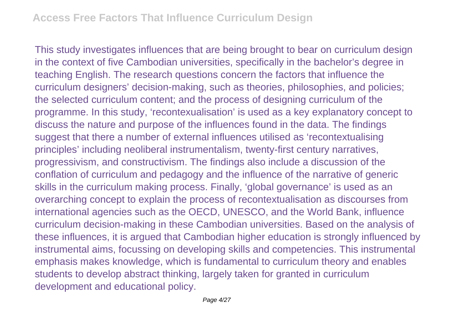This study investigates influences that are being brought to bear on curriculum design in the context of five Cambodian universities, specifically in the bachelor's degree in teaching English. The research questions concern the factors that influence the curriculum designers' decision-making, such as theories, philosophies, and policies; the selected curriculum content; and the process of designing curriculum of the programme. In this study, 'recontexualisation' is used as a key explanatory concept to discuss the nature and purpose of the influences found in the data. The findings suggest that there a number of external influences utilised as 'recontextualising principles' including neoliberal instrumentalism, twenty-first century narratives, progressivism, and constructivism. The findings also include a discussion of the conflation of curriculum and pedagogy and the influence of the narrative of generic skills in the curriculum making process. Finally, 'global governance' is used as an overarching concept to explain the process of recontextualisation as discourses from international agencies such as the OECD, UNESCO, and the World Bank, influence curriculum decision-making in these Cambodian universities. Based on the analysis of these influences, it is argued that Cambodian higher education is strongly influenced by instrumental aims, focussing on developing skills and competencies. This instrumental emphasis makes knowledge, which is fundamental to curriculum theory and enables students to develop abstract thinking, largely taken for granted in curriculum development and educational policy.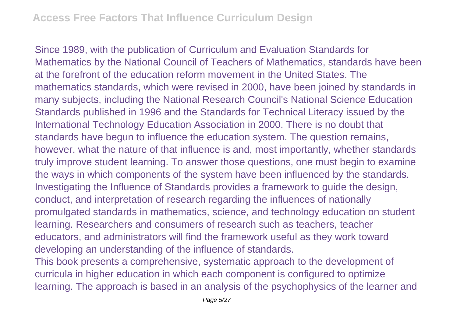Since 1989, with the publication of Curriculum and Evaluation Standards for Mathematics by the National Council of Teachers of Mathematics, standards have been at the forefront of the education reform movement in the United States. The mathematics standards, which were revised in 2000, have been joined by standards in many subjects, including the National Research Council's National Science Education Standards published in 1996 and the Standards for Technical Literacy issued by the International Technology Education Association in 2000. There is no doubt that standards have begun to influence the education system. The question remains, however, what the nature of that influence is and, most importantly, whether standards truly improve student learning. To answer those questions, one must begin to examine the ways in which components of the system have been influenced by the standards. Investigating the Influence of Standards provides a framework to guide the design, conduct, and interpretation of research regarding the influences of nationally promulgated standards in mathematics, science, and technology education on student learning. Researchers and consumers of research such as teachers, teacher educators, and administrators will find the framework useful as they work toward developing an understanding of the influence of standards.

This book presents a comprehensive, systematic approach to the development of curricula in higher education in which each component is configured to optimize learning. The approach is based in an analysis of the psychophysics of the learner and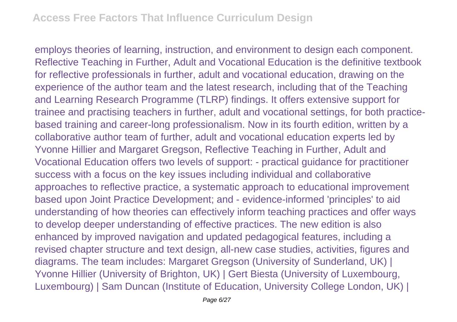employs theories of learning, instruction, and environment to design each component. Reflective Teaching in Further, Adult and Vocational Education is the definitive textbook for reflective professionals in further, adult and vocational education, drawing on the experience of the author team and the latest research, including that of the Teaching and Learning Research Programme (TLRP) findings. It offers extensive support for trainee and practising teachers in further, adult and vocational settings, for both practicebased training and career-long professionalism. Now in its fourth edition, written by a collaborative author team of further, adult and vocational education experts led by Yvonne Hillier and Margaret Gregson, Reflective Teaching in Further, Adult and Vocational Education offers two levels of support: - practical guidance for practitioner success with a focus on the key issues including individual and collaborative approaches to reflective practice, a systematic approach to educational improvement based upon Joint Practice Development; and - evidence-informed 'principles' to aid understanding of how theories can effectively inform teaching practices and offer ways to develop deeper understanding of effective practices. The new edition is also enhanced by improved navigation and updated pedagogical features, including a revised chapter structure and text design, all-new case studies, activities, figures and diagrams. The team includes: Margaret Gregson (University of Sunderland, UK) | Yvonne Hillier (University of Brighton, UK) | Gert Biesta (University of Luxembourg, Luxembourg) | Sam Duncan (Institute of Education, University College London, UK) |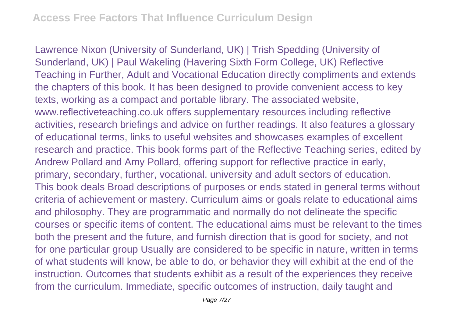Lawrence Nixon (University of Sunderland, UK) | Trish Spedding (University of Sunderland, UK) | Paul Wakeling (Havering Sixth Form College, UK) Reflective Teaching in Further, Adult and Vocational Education directly compliments and extends the chapters of this book. It has been designed to provide convenient access to key texts, working as a compact and portable library. The associated website, www.reflectiveteaching.co.uk offers supplementary resources including reflective activities, research briefings and advice on further readings. It also features a glossary of educational terms, links to useful websites and showcases examples of excellent research and practice. This book forms part of the Reflective Teaching series, edited by Andrew Pollard and Amy Pollard, offering support for reflective practice in early, primary, secondary, further, vocational, university and adult sectors of education. This book deals Broad descriptions of purposes or ends stated in general terms without criteria of achievement or mastery. Curriculum aims or goals relate to educational aims and philosophy. They are programmatic and normally do not delineate the specific courses or specific items of content. The educational aims must be relevant to the times both the present and the future, and furnish direction that is good for society, and not for one particular group Usually are considered to be specific in nature, written in terms of what students will know, be able to do, or behavior they will exhibit at the end of the instruction. Outcomes that students exhibit as a result of the experiences they receive from the curriculum. Immediate, specific outcomes of instruction, daily taught and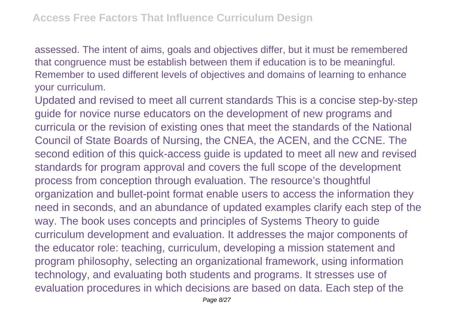assessed. The intent of aims, goals and objectives differ, but it must be remembered that congruence must be establish between them if education is to be meaningful. Remember to used different levels of objectives and domains of learning to enhance your curriculum.

Updated and revised to meet all current standards This is a concise step-by-step guide for novice nurse educators on the development of new programs and curricula or the revision of existing ones that meet the standards of the National Council of State Boards of Nursing, the CNEA, the ACEN, and the CCNE. The second edition of this quick-access guide is updated to meet all new and revised standards for program approval and covers the full scope of the development process from conception through evaluation. The resource's thoughtful organization and bullet-point format enable users to access the information they need in seconds, and an abundance of updated examples clarify each step of the way. The book uses concepts and principles of Systems Theory to guide curriculum development and evaluation. It addresses the major components of the educator role: teaching, curriculum, developing a mission statement and program philosophy, selecting an organizational framework, using information technology, and evaluating both students and programs. It stresses use of evaluation procedures in which decisions are based on data. Each step of the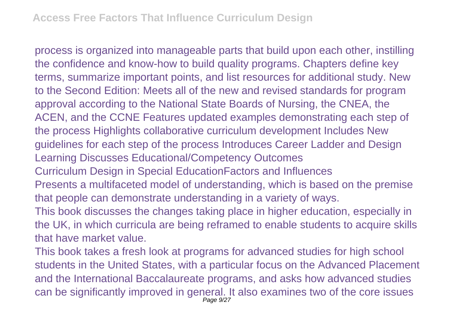process is organized into manageable parts that build upon each other, instilling the confidence and know-how to build quality programs. Chapters define key terms, summarize important points, and list resources for additional study. New to the Second Edition: Meets all of the new and revised standards for program approval according to the National State Boards of Nursing, the CNEA, the ACEN, and the CCNE Features updated examples demonstrating each step of the process Highlights collaborative curriculum development Includes New guidelines for each step of the process Introduces Career Ladder and Design Learning Discusses Educational/Competency Outcomes Curriculum Design in Special EducationFactors and Influences Presents a multifaceted model of understanding, which is based on the premise that people can demonstrate understanding in a variety of ways. This book discusses the changes taking place in higher education, especially in the UK, in which curricula are being reframed to enable students to acquire skills that have market value.

This book takes a fresh look at programs for advanced studies for high school students in the United States, with a particular focus on the Advanced Placement and the International Baccalaureate programs, and asks how advanced studies can be significantly improved in general. It also examines two of the core issues Page 9/27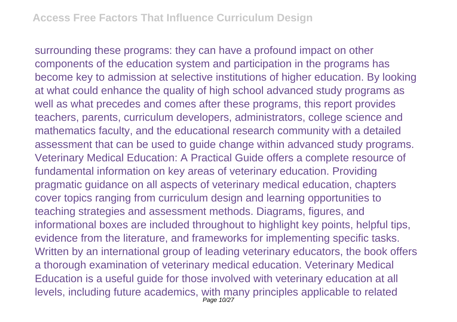surrounding these programs: they can have a profound impact on other components of the education system and participation in the programs has become key to admission at selective institutions of higher education. By looking at what could enhance the quality of high school advanced study programs as well as what precedes and comes after these programs, this report provides teachers, parents, curriculum developers, administrators, college science and mathematics faculty, and the educational research community with a detailed assessment that can be used to guide change within advanced study programs. Veterinary Medical Education: A Practical Guide offers a complete resource of fundamental information on key areas of veterinary education. Providing pragmatic guidance on all aspects of veterinary medical education, chapters cover topics ranging from curriculum design and learning opportunities to teaching strategies and assessment methods. Diagrams, figures, and informational boxes are included throughout to highlight key points, helpful tips, evidence from the literature, and frameworks for implementing specific tasks. Written by an international group of leading veterinary educators, the book offers a thorough examination of veterinary medical education. Veterinary Medical Education is a useful guide for those involved with veterinary education at all levels, including future academics, with many principles applicable to related Page 10/27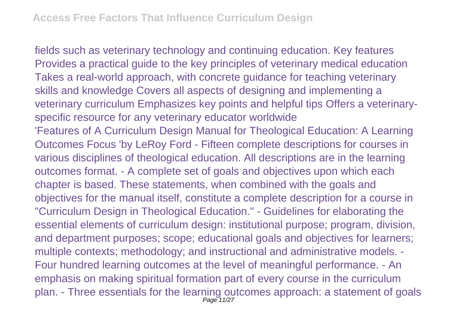fields such as veterinary technology and continuing education. Key features Provides a practical guide to the key principles of veterinary medical education Takes a real-world approach, with concrete guidance for teaching veterinary skills and knowledge Covers all aspects of designing and implementing a veterinary curriculum Emphasizes key points and helpful tips Offers a veterinaryspecific resource for any veterinary educator worldwide 'Features of A Curriculum Design Manual for Theological Education: A Learning Outcomes Focus 'by LeRoy Ford - Fifteen complete descriptions for courses in various disciplines of theological education. All descriptions are in the learning outcomes format. - A complete set of goals and objectives upon which each chapter is based. These statements, when combined with the goals and objectives for the manual itself, constitute a complete description for a course in "Curriculum Design in Theological Education." - Guidelines for elaborating the essential elements of curriculum design: institutional purpose; program, division, and department purposes; scope; educational goals and objectives for learners; multiple contexts; methodology; and instructional and administrative models. - Four hundred learning outcomes at the level of meaningful performance. - An emphasis on making spiritual formation part of every course in the curriculum plan. - Three essentials for the learning outcomes approach: a statement of goals Page 11/27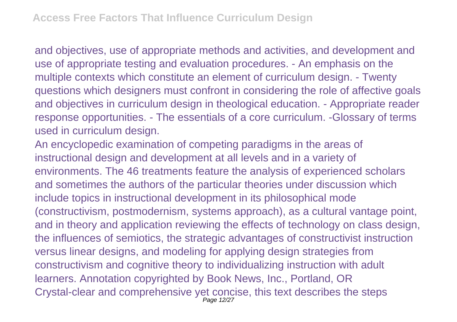and objectives, use of appropriate methods and activities, and development and use of appropriate testing and evaluation procedures. - An emphasis on the multiple contexts which constitute an element of curriculum design. - Twenty questions which designers must confront in considering the role of affective goals and objectives in curriculum design in theological education. - Appropriate reader response opportunities. - The essentials of a core curriculum. -Glossary of terms used in curriculum design.

An encyclopedic examination of competing paradigms in the areas of instructional design and development at all levels and in a variety of environments. The 46 treatments feature the analysis of experienced scholars and sometimes the authors of the particular theories under discussion which include topics in instructional development in its philosophical mode (constructivism, postmodernism, systems approach), as a cultural vantage point, and in theory and application reviewing the effects of technology on class design, the influences of semiotics, the strategic advantages of constructivist instruction versus linear designs, and modeling for applying design strategies from constructivism and cognitive theory to individualizing instruction with adult learners. Annotation copyrighted by Book News, Inc., Portland, OR Crystal-clear and comprehensive yet concise, this text describes the steps Page 12/27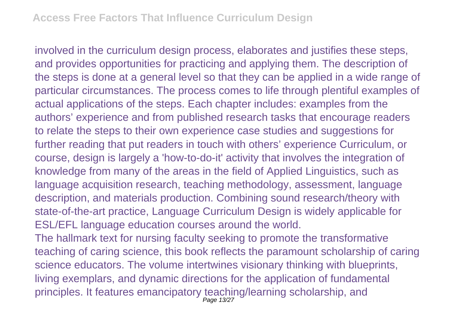involved in the curriculum design process, elaborates and justifies these steps, and provides opportunities for practicing and applying them. The description of the steps is done at a general level so that they can be applied in a wide range of particular circumstances. The process comes to life through plentiful examples of actual applications of the steps. Each chapter includes: examples from the authors' experience and from published research tasks that encourage readers to relate the steps to their own experience case studies and suggestions for further reading that put readers in touch with others' experience Curriculum, or course, design is largely a 'how-to-do-it' activity that involves the integration of knowledge from many of the areas in the field of Applied Linguistics, such as language acquisition research, teaching methodology, assessment, language description, and materials production. Combining sound research/theory with state-of-the-art practice, Language Curriculum Design is widely applicable for ESL/EFL language education courses around the world.

The hallmark text for nursing faculty seeking to promote the transformative teaching of caring science, this book reflects the paramount scholarship of caring science educators. The volume intertwines visionary thinking with blueprints, living exemplars, and dynamic directions for the application of fundamental principles. It features emancipatory teaching/learning scholarship, and Page 13/27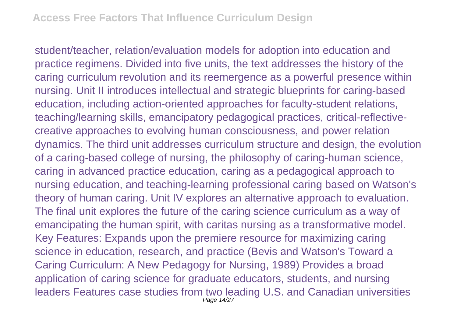student/teacher, relation/evaluation models for adoption into education and practice regimens. Divided into five units, the text addresses the history of the caring curriculum revolution and its reemergence as a powerful presence within nursing. Unit II introduces intellectual and strategic blueprints for caring-based education, including action-oriented approaches for faculty-student relations, teaching/learning skills, emancipatory pedagogical practices, critical-reflectivecreative approaches to evolving human consciousness, and power relation dynamics. The third unit addresses curriculum structure and design, the evolution of a caring-based college of nursing, the philosophy of caring-human science, caring in advanced practice education, caring as a pedagogical approach to nursing education, and teaching-learning professional caring based on Watson's theory of human caring. Unit IV explores an alternative approach to evaluation. The final unit explores the future of the caring science curriculum as a way of emancipating the human spirit, with caritas nursing as a transformative model. Key Features: Expands upon the premiere resource for maximizing caring science in education, research, and practice (Bevis and Watson's Toward a Caring Curriculum: A New Pedagogy for Nursing, 1989) Provides a broad application of caring science for graduate educators, students, and nursing leaders Features case studies from two leading U.S. and Canadian universities Page 14/27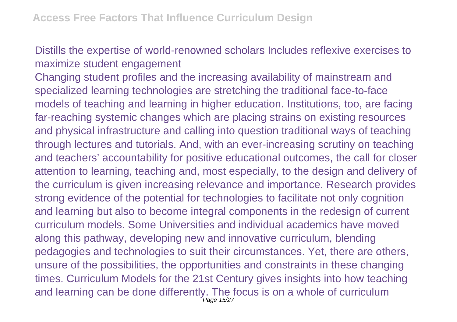Distills the expertise of world-renowned scholars Includes reflexive exercises to maximize student engagement

Changing student profiles and the increasing availability of mainstream and specialized learning technologies are stretching the traditional face-to-face models of teaching and learning in higher education. Institutions, too, are facing far-reaching systemic changes which are placing strains on existing resources and physical infrastructure and calling into question traditional ways of teaching through lectures and tutorials. And, with an ever-increasing scrutiny on teaching and teachers' accountability for positive educational outcomes, the call for closer attention to learning, teaching and, most especially, to the design and delivery of the curriculum is given increasing relevance and importance. Research provides strong evidence of the potential for technologies to facilitate not only cognition and learning but also to become integral components in the redesign of current curriculum models. Some Universities and individual academics have moved along this pathway, developing new and innovative curriculum, blending pedagogies and technologies to suit their circumstances. Yet, there are others, unsure of the possibilities, the opportunities and constraints in these changing times. Curriculum Models for the 21st Century gives insights into how teaching and learning can be done differently. The focus is on a whole of curriculum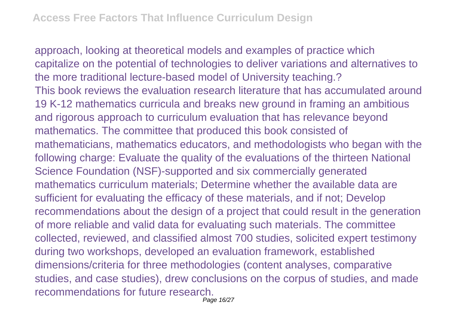approach, looking at theoretical models and examples of practice which capitalize on the potential of technologies to deliver variations and alternatives to the more traditional lecture-based model of University teaching.? This book reviews the evaluation research literature that has accumulated around 19 K-12 mathematics curricula and breaks new ground in framing an ambitious and rigorous approach to curriculum evaluation that has relevance beyond mathematics. The committee that produced this book consisted of mathematicians, mathematics educators, and methodologists who began with the following charge: Evaluate the quality of the evaluations of the thirteen National Science Foundation (NSF)-supported and six commercially generated mathematics curriculum materials; Determine whether the available data are sufficient for evaluating the efficacy of these materials, and if not; Develop recommendations about the design of a project that could result in the generation of more reliable and valid data for evaluating such materials. The committee collected, reviewed, and classified almost 700 studies, solicited expert testimony during two workshops, developed an evaluation framework, established dimensions/criteria for three methodologies (content analyses, comparative studies, and case studies), drew conclusions on the corpus of studies, and made recommendations for future research. Page 16/27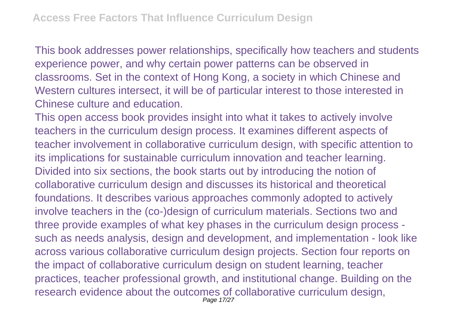This book addresses power relationships, specifically how teachers and students experience power, and why certain power patterns can be observed in classrooms. Set in the context of Hong Kong, a society in which Chinese and Western cultures intersect, it will be of particular interest to those interested in Chinese culture and education.

This open access book provides insight into what it takes to actively involve teachers in the curriculum design process. It examines different aspects of teacher involvement in collaborative curriculum design, with specific attention to its implications for sustainable curriculum innovation and teacher learning. Divided into six sections, the book starts out by introducing the notion of collaborative curriculum design and discusses its historical and theoretical foundations. It describes various approaches commonly adopted to actively involve teachers in the (co-)design of curriculum materials. Sections two and three provide examples of what key phases in the curriculum design process such as needs analysis, design and development, and implementation - look like across various collaborative curriculum design projects. Section four reports on the impact of collaborative curriculum design on student learning, teacher practices, teacher professional growth, and institutional change. Building on the research evidence about the outcomes of collaborative curriculum design, Page 17/27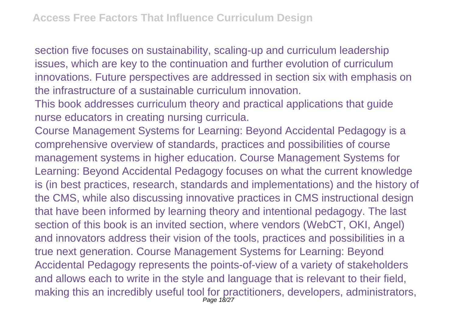section five focuses on sustainability, scaling-up and curriculum leadership issues, which are key to the continuation and further evolution of curriculum innovations. Future perspectives are addressed in section six with emphasis on the infrastructure of a sustainable curriculum innovation.

This book addresses curriculum theory and practical applications that guide nurse educators in creating nursing curricula.

Course Management Systems for Learning: Beyond Accidental Pedagogy is a comprehensive overview of standards, practices and possibilities of course management systems in higher education. Course Management Systems for Learning: Beyond Accidental Pedagogy focuses on what the current knowledge is (in best practices, research, standards and implementations) and the history of the CMS, while also discussing innovative practices in CMS instructional design that have been informed by learning theory and intentional pedagogy. The last section of this book is an invited section, where vendors (WebCT, OKI, Angel) and innovators address their vision of the tools, practices and possibilities in a true next generation. Course Management Systems for Learning: Beyond Accidental Pedagogy represents the points-of-view of a variety of stakeholders and allows each to write in the style and language that is relevant to their field, making this an incredibly useful tool for practitioners, developers, administrators, Page 18/27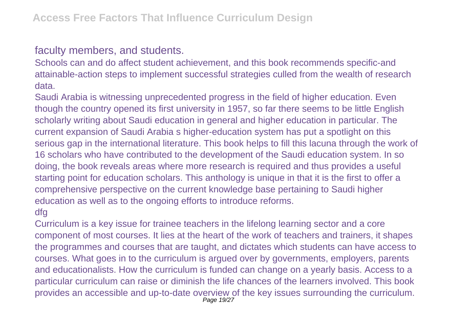## faculty members, and students.

Schools can and do affect student achievement, and this book recommends specific-and attainable-action steps to implement successful strategies culled from the wealth of research data.

Saudi Arabia is witnessing unprecedented progress in the field of higher education. Even though the country opened its first university in 1957, so far there seems to be little English scholarly writing about Saudi education in general and higher education in particular. The current expansion of Saudi Arabia s higher-education system has put a spotlight on this serious gap in the international literature. This book helps to fill this lacuna through the work of 16 scholars who have contributed to the development of the Saudi education system. In so doing, the book reveals areas where more research is required and thus provides a useful starting point for education scholars. This anthology is unique in that it is the first to offer a comprehensive perspective on the current knowledge base pertaining to Saudi higher education as well as to the ongoing efforts to introduce reforms.

## dfg

Curriculum is a key issue for trainee teachers in the lifelong learning sector and a core component of most courses. It lies at the heart of the work of teachers and trainers, it shapes the programmes and courses that are taught, and dictates which students can have access to courses. What goes in to the curriculum is argued over by governments, employers, parents and educationalists. How the curriculum is funded can change on a yearly basis. Access to a particular curriculum can raise or diminish the life chances of the learners involved. This book provides an accessible and up-to-date overview of the key issues surrounding the curriculum. Page 19/27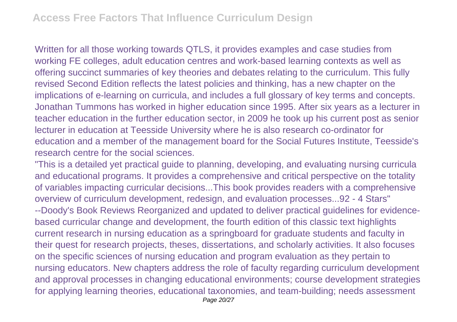Written for all those working towards QTLS, it provides examples and case studies from working FE colleges, adult education centres and work-based learning contexts as well as offering succinct summaries of key theories and debates relating to the curriculum. This fully revised Second Edition reflects the latest policies and thinking, has a new chapter on the implications of e-learning on curricula, and includes a full glossary of key terms and concepts. Jonathan Tummons has worked in higher education since 1995. After six years as a lecturer in teacher education in the further education sector, in 2009 he took up his current post as senior lecturer in education at Teesside University where he is also research co-ordinator for education and a member of the management board for the Social Futures Institute, Teesside's research centre for the social sciences.

"This is a detailed yet practical guide to planning, developing, and evaluating nursing curricula and educational programs. It provides a comprehensive and critical perspective on the totality of variables impacting curricular decisions...This book provides readers with a comprehensive overview of curriculum development, redesign, and evaluation processes...92 - 4 Stars" --Doody's Book Reviews Reorganized and updated to deliver practical guidelines for evidencebased curricular change and development, the fourth edition of this classic text highlights current research in nursing education as a springboard for graduate students and faculty in their quest for research projects, theses, dissertations, and scholarly activities. It also focuses on the specific sciences of nursing education and program evaluation as they pertain to nursing educators. New chapters address the role of faculty regarding curriculum development and approval processes in changing educational environments; course development strategies for applying learning theories, educational taxonomies, and team-building; needs assessment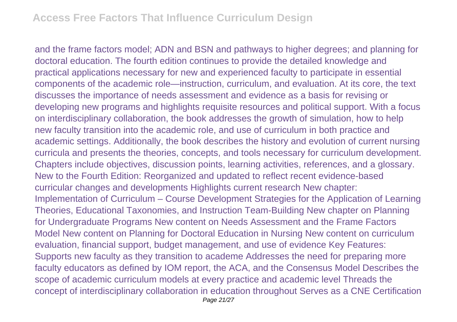and the frame factors model; ADN and BSN and pathways to higher degrees; and planning for doctoral education. The fourth edition continues to provide the detailed knowledge and practical applications necessary for new and experienced faculty to participate in essential components of the academic role—instruction, curriculum, and evaluation. At its core, the text discusses the importance of needs assessment and evidence as a basis for revising or developing new programs and highlights requisite resources and political support. With a focus on interdisciplinary collaboration, the book addresses the growth of simulation, how to help new faculty transition into the academic role, and use of curriculum in both practice and academic settings. Additionally, the book describes the history and evolution of current nursing curricula and presents the theories, concepts, and tools necessary for curriculum development. Chapters include objectives, discussion points, learning activities, references, and a glossary. New to the Fourth Edition: Reorganized and updated to reflect recent evidence-based curricular changes and developments Highlights current research New chapter: Implementation of Curriculum – Course Development Strategies for the Application of Learning Theories, Educational Taxonomies, and Instruction Team-Building New chapter on Planning for Undergraduate Programs New content on Needs Assessment and the Frame Factors Model New content on Planning for Doctoral Education in Nursing New content on curriculum evaluation, financial support, budget management, and use of evidence Key Features: Supports new faculty as they transition to academe Addresses the need for preparing more faculty educators as defined by IOM report, the ACA, and the Consensus Model Describes the scope of academic curriculum models at every practice and academic level Threads the concept of interdisciplinary collaboration in education throughout Serves as a CNE Certification Page 21/27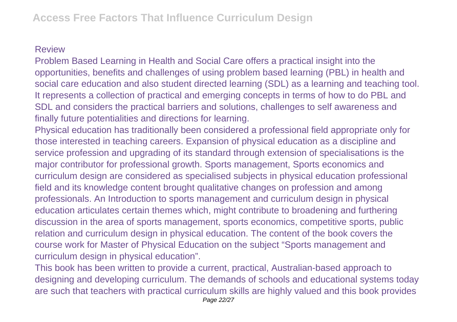## Review

Problem Based Learning in Health and Social Care offers a practical insight into the opportunities, benefits and challenges of using problem based learning (PBL) in health and social care education and also student directed learning (SDL) as a learning and teaching tool. It represents a collection of practical and emerging concepts in terms of how to do PBL and SDL and considers the practical barriers and solutions, challenges to self awareness and finally future potentialities and directions for learning.

Physical education has traditionally been considered a professional field appropriate only for those interested in teaching careers. Expansion of physical education as a discipline and service profession and upgrading of its standard through extension of specialisations is the major contributor for professional growth. Sports management, Sports economics and curriculum design are considered as specialised subjects in physical education professional field and its knowledge content brought qualitative changes on profession and among professionals. An Introduction to sports management and curriculum design in physical education articulates certain themes which, might contribute to broadening and furthering discussion in the area of sports management, sports economics, competitive sports, public relation and curriculum design in physical education. The content of the book covers the course work for Master of Physical Education on the subject "Sports management and curriculum design in physical education".

This book has been written to provide a current, practical, Australian-based approach to designing and developing curriculum. The demands of schools and educational systems today are such that teachers with practical curriculum skills are highly valued and this book provides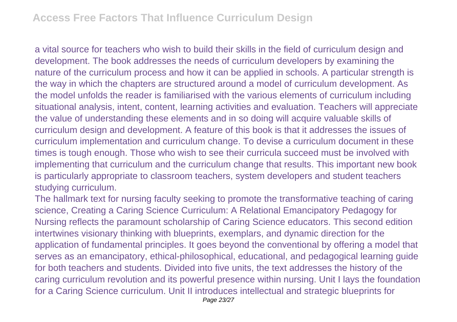a vital source for teachers who wish to build their skills in the field of curriculum design and development. The book addresses the needs of curriculum developers by examining the nature of the curriculum process and how it can be applied in schools. A particular strength is the way in which the chapters are structured around a model of curriculum development. As the model unfolds the reader is familiarised with the various elements of curriculum including situational analysis, intent, content, learning activities and evaluation. Teachers will appreciate the value of understanding these elements and in so doing will acquire valuable skills of curriculum design and development. A feature of this book is that it addresses the issues of curriculum implementation and curriculum change. To devise a curriculum document in these times is tough enough. Those who wish to see their curricula succeed must be involved with implementing that curriculum and the curriculum change that results. This important new book is particularly appropriate to classroom teachers, system developers and student teachers studying curriculum.

The hallmark text for nursing faculty seeking to promote the transformative teaching of caring science, Creating a Caring Science Curriculum: A Relational Emancipatory Pedagogy for Nursing reflects the paramount scholarship of Caring Science educators. This second edition intertwines visionary thinking with blueprints, exemplars, and dynamic direction for the application of fundamental principles. It goes beyond the conventional by offering a model that serves as an emancipatory, ethical-philosophical, educational, and pedagogical learning guide for both teachers and students. Divided into five units, the text addresses the history of the caring curriculum revolution and its powerful presence within nursing. Unit I lays the foundation for a Caring Science curriculum. Unit II introduces intellectual and strategic blueprints for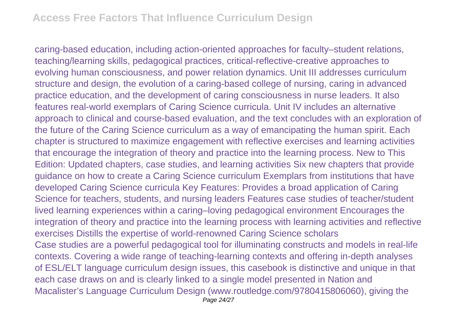caring-based education, including action-oriented approaches for faculty–student relations, teaching/learning skills, pedagogical practices, critical-reflective-creative approaches to evolving human consciousness, and power relation dynamics. Unit III addresses curriculum structure and design, the evolution of a caring-based college of nursing, caring in advanced practice education, and the development of caring consciousness in nurse leaders. It also features real-world exemplars of Caring Science curricula. Unit IV includes an alternative approach to clinical and course-based evaluation, and the text concludes with an exploration of the future of the Caring Science curriculum as a way of emancipating the human spirit. Each chapter is structured to maximize engagement with reflective exercises and learning activities that encourage the integration of theory and practice into the learning process. New to This Edition: Updated chapters, case studies, and learning activities Six new chapters that provide guidance on how to create a Caring Science curriculum Exemplars from institutions that have developed Caring Science curricula Key Features: Provides a broad application of Caring Science for teachers, students, and nursing leaders Features case studies of teacher/student lived learning experiences within a caring–loving pedagogical environment Encourages the integration of theory and practice into the learning process with learning activities and reflective exercises Distills the expertise of world-renowned Caring Science scholars Case studies are a powerful pedagogical tool for illuminating constructs and models in real-life contexts. Covering a wide range of teaching-learning contexts and offering in-depth analyses of ESL/ELT language curriculum design issues, this casebook is distinctive and unique in that each case draws on and is clearly linked to a single model presented in Nation and Macalister's Language Curriculum Design (www.routledge.com/9780415806060), giving the Page 24/27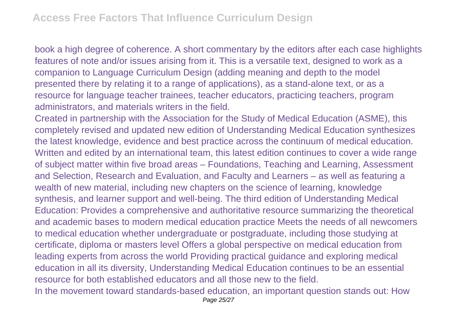book a high degree of coherence. A short commentary by the editors after each case highlights features of note and/or issues arising from it. This is a versatile text, designed to work as a companion to Language Curriculum Design (adding meaning and depth to the model presented there by relating it to a range of applications), as a stand-alone text, or as a resource for language teacher trainees, teacher educators, practicing teachers, program administrators, and materials writers in the field.

Created in partnership with the Association for the Study of Medical Education (ASME), this completely revised and updated new edition of Understanding Medical Education synthesizes the latest knowledge, evidence and best practice across the continuum of medical education. Written and edited by an international team, this latest edition continues to cover a wide range of subject matter within five broad areas – Foundations, Teaching and Learning, Assessment and Selection, Research and Evaluation, and Faculty and Learners – as well as featuring a wealth of new material, including new chapters on the science of learning, knowledge synthesis, and learner support and well-being. The third edition of Understanding Medical Education: Provides a comprehensive and authoritative resource summarizing the theoretical and academic bases to modern medical education practice Meets the needs of all newcomers to medical education whether undergraduate or postgraduate, including those studying at certificate, diploma or masters level Offers a global perspective on medical education from leading experts from across the world Providing practical guidance and exploring medical education in all its diversity, Understanding Medical Education continues to be an essential resource for both established educators and all those new to the field.

In the movement toward standards-based education, an important question stands out: How Page 25/27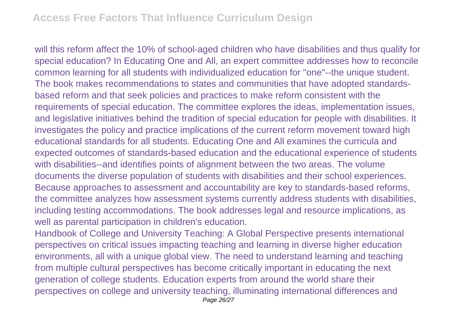will this reform affect the 10% of school-aged children who have disabilities and thus qualify for special education? In Educating One and All, an expert committee addresses how to reconcile common learning for all students with individualized education for "one"--the unique student. The book makes recommendations to states and communities that have adopted standardsbased reform and that seek policies and practices to make reform consistent with the requirements of special education. The committee explores the ideas, implementation issues, and legislative initiatives behind the tradition of special education for people with disabilities. It investigates the policy and practice implications of the current reform movement toward high educational standards for all students. Educating One and All examines the curricula and expected outcomes of standards-based education and the educational experience of students with disabilities--and identifies points of alignment between the two areas. The volume documents the diverse population of students with disabilities and their school experiences. Because approaches to assessment and accountability are key to standards-based reforms, the committee analyzes how assessment systems currently address students with disabilities, including testing accommodations. The book addresses legal and resource implications, as well as parental participation in children's education.

Handbook of College and University Teaching: A Global Perspective presents international perspectives on critical issues impacting teaching and learning in diverse higher education environments, all with a unique global view. The need to understand learning and teaching from multiple cultural perspectives has become critically important in educating the next generation of college students. Education experts from around the world share their perspectives on college and university teaching, illuminating international differences and Page 26/27